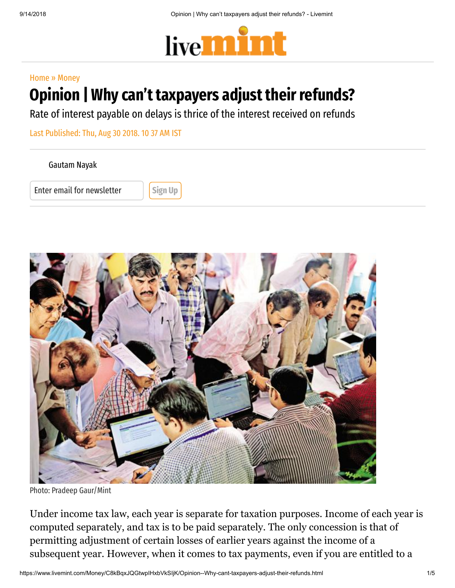

## [Home](https://www.livemint.com/) » [Money](https://www.livemint.com/money)

## Opinion | Why can't taxpayers adjust their refunds?

Rate of interest payable on delays is thrice of the interest received on refunds

Last Published: Thu, Aug 30 2018. 10 37 AM IST

[Gautam](https://www.livemint.com/Search/Link/Author/Gautam%20Nayak) Nayak

Enter email for newsletter **Sign Up** 



Photo: Pradeep Gaur/Mint

Under income tax law, each year is separate for taxation purposes. Income of each year is computed separately, and tax is to be paid separately. The only concession is that of permitting adjustment of certain losses of earlier years against the income of a subsequent year. However, when it comes to tax payments, even if you are entitled to a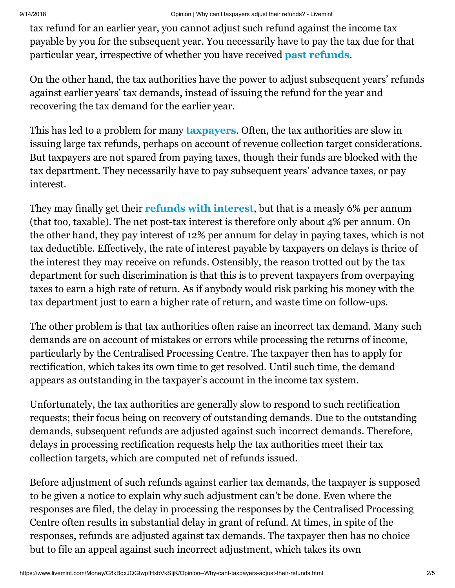tax refund for an earlier year, you cannot adjust such refund against the income tax payable by you for the subsequent year. You necessarily have to pay the tax due for that particular year, irrespective of whether you have received [past refunds](https://www.livemint.com/Consumer/xihUBhvYyBvRBTjkiciYyK/Received-a-message-from-IT-Beware-It-may-be-fake.html).

On the other hand, the tax authorities have the power to adjust subsequent years' refunds against earlier years' tax demands, instead of issuing the refund for the year and recovering the tax demand for the earlier year.

This has led to a problem for many **[taxpayers](https://www.livemint.com/Money/hBFAcppsArKKFzGkmyDNFL/-70000-crore-in-income-tax-refunds-issued-99-claims-proc.html)**. Often, the tax authorities are slow in issuing large tax refunds, perhaps on account of revenue collection target considerations. But taxpayers are not spared from paying taxes, though their funds are blocked with the tax department. They necessarily have to pay subsequent years' advance taxes, or pay interest.

They may finally get their **[refunds with interest](https://www.livemint.com/Politics/uN9DtfRdH5SOz7mA2ifXKL/Centre-to-launch-tax-refund-drive-in-bid-to-help-exporters.html)**, but that is a measly 6% per annum (that too, taxable). The net post-tax interest is therefore only about 4% per annum. On the other hand, they pay interest of 12% per annum for delay in paying taxes, which is not tax deductible. Effectively, the rate of interest payable by taxpayers on delays is thrice of the interest they may receive on refunds. Ostensibly, the reason trotted out by the tax department for such discrimination is that this is to prevent taxpayers from overpaying taxes to earn a high rate of return. As if anybody would risk parking his money with the tax department just to earn a higher rate of return, and waste time on follow-ups.

The other problem is that tax authorities often raise an incorrect tax demand. Many such demands are on account of mistakes or errors while processing the returns of income, particularly by the Centralised Processing Centre. The taxpayer then has to apply for rectification, which takes its own time to get resolved. Until such time, the demand appears as outstanding in the taxpayer's account in the income tax system.

Unfortunately, the tax authorities are generally slow to respond to such rectification requests; their focus being on recovery of outstanding demands. Due to the outstanding demands, subsequent refunds are adjusted against such incorrect demands. Therefore, delays in processing rectification requests help the tax authorities meet their tax collection targets, which are computed net of refunds issued.

Before adjustment of such refunds against earlier tax demands, the taxpayer is supposed to be given a notice to explain why such adjustment can't be done. Even where the responses are filed, the delay in processing the responses by the Centralised Processing Centre often results in substantial delay in grant of refund. At times, in spite of the responses, refunds are adjusted against tax demands. The taxpayer then has no choice but to file an appeal against such incorrect adjustment, which takes its own